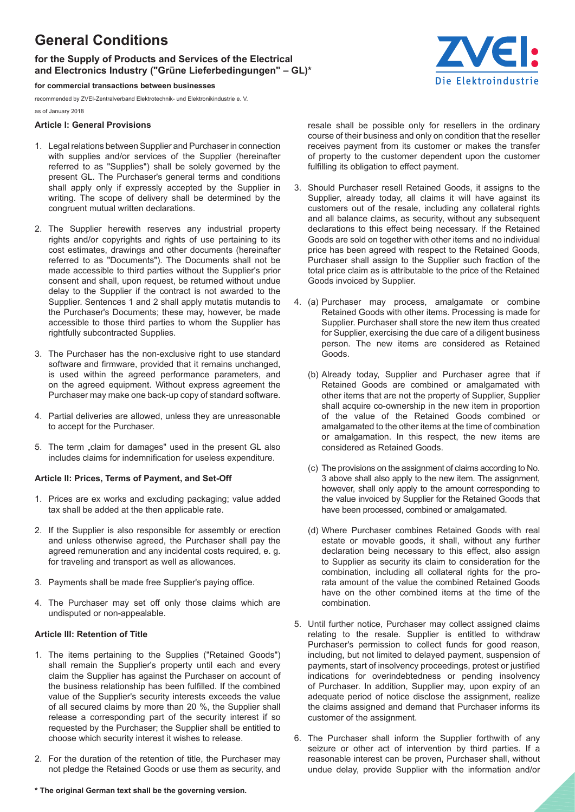# **General Conditions**

# **for the Supply of Products and Services of the Electrical and Electronics Industry ("Grüne Lieferbedingungen" – GL)\***

**for commercial transactions between businesses**

recommended by ZVEI-Zentralverband Elektrotechnik- und Elektronikindustrie e. V.

as of January 2018

### **Article I: General Provisions**

- 1. Legal relations between Supplier and Purchaser in connection with supplies and/or services of the Supplier (hereinafter referred to as "Supplies") shall be solely governed by the present GL. The Purchaser's general terms and conditions shall apply only if expressly accepted by the Supplier in writing. The scope of delivery shall be determined by the congruent mutual written declarations.
- 2. The Supplier herewith reserves any industrial property rights and/or copyrights and rights of use pertaining to its cost estimates, drawings and other documents (hereinafter referred to as "Documents"). The Documents shall not be made accessible to third parties without the Supplier's prior consent and shall, upon request, be returned without undue delay to the Supplier if the contract is not awarded to the Supplier. Sentences 1 and 2 shall apply mutatis mutandis to the Purchaser's Documents; these may, however, be made accessible to those third parties to whom the Supplier has rightfully subcontracted Supplies.
- 3. The Purchaser has the non-exclusive right to use standard software and firmware, provided that it remains unchanged, is used within the agreed performance parameters, and on the agreed equipment. Without express agreement the Purchaser may make one back-up copy of standard software.
- 4. Partial deliveries are allowed, unless they are unreasonable to accept for the Purchaser.
- 5. The term "claim for damages" used in the present GL also includes claims for indemnification for useless expenditure.

#### **Article II: Prices, Terms of Payment, and Set-Off**

- 1. Prices are ex works and excluding packaging; value added tax shall be added at the then applicable rate.
- 2. If the Supplier is also responsible for assembly or erection and unless otherwise agreed, the Purchaser shall pay the agreed remuneration and any incidental costs required, e. g. for traveling and transport as well as allowances.
- 3. Payments shall be made free Supplier's paying ofice.
- 4. The Purchaser may set off only those claims which are undisputed or non-appealable.

#### **Article III: Retention of Title**

- 1. The items pertaining to the Supplies ("Retained Goods") shall remain the Supplier's property until each and every claim the Supplier has against the Purchaser on account of the business relationship has been fulilled. If the combined value of the Supplier's security interests exceeds the value of all secured claims by more than 20 %, the Supplier shall release a corresponding part of the security interest if so requested by the Purchaser; the Supplier shall be entitled to choose which security interest it wishes to release.
- 2. For the duration of the retention of title, the Purchaser may not pledge the Retained Goods or use them as security, and
	-

resale shall be possible only for resellers in the ordinary course of their business and only on condition that the reseller receives payment from its customer or makes the transfer of property to the customer dependent upon the customer fulfilling its obligation to effect payment.

- 3. Should Purchaser resell Retained Goods, it assigns to the Supplier, already today, all claims it will have against its customers out of the resale, including any collateral rights and all balance claims, as security, without any subsequent declarations to this effect being necessary. If the Retained Goods are sold on together with other items and no individual price has been agreed with respect to the Retained Goods, Purchaser shall assign to the Supplier such fraction of the total price claim as is attributable to the price of the Retained Goods invoiced by Supplier.
- 4. (a) Purchaser may process, amalgamate or combine Retained Goods with other items. Processing is made for Supplier. Purchaser shall store the new item thus created for Supplier, exercising the due care of a diligent business person. The new items are considered as Retained Goods.
	- (b) Already today, Supplier and Purchaser agree that if Retained Goods are combined or amalgamated with other items that are not the property of Supplier, Supplier shall acquire co-ownership in the new item in proportion of the value of the Retained Goods combined or amalgamated to the other items at the time of combination or amalgamation. In this respect, the new items are considered as Retained Goods.
	- (c) The provisions on the assignment of claims according to No. 3 above shall also apply to the new item. The assignment, however, shall only apply to the amount corresponding to the value invoiced by Supplier for the Retained Goods that have been processed, combined or amalgamated.
	- (d) Where Purchaser combines Retained Goods with real estate or movable goods, it shall, without any further declaration being necessary to this effect, also assign to Supplier as security its claim to consideration for the combination, including all collateral rights for the prorata amount of the value the combined Retained Goods have on the other combined items at the time of the combination.
- 5. Until further notice, Purchaser may collect assigned claims relating to the resale. Supplier is entitled to withdraw Purchaser's permission to collect funds for good reason, including, but not limited to delayed payment, suspension of payments, start of insolvency proceedings, protest or justified indications for overindebtedness or pending insolvency of Purchaser. In addition, Supplier may, upon expiry of an adequate period of notice disclose the assignment, realize the claims assigned and demand that Purchaser informs its customer of the assignment.
- 6. The Purchaser shall inform the Supplier forthwith of any seizure or other act of intervention by third parties. If a reasonable interest can be proven, Purchaser shall, without undue delay, provide Supplier with the information and/or



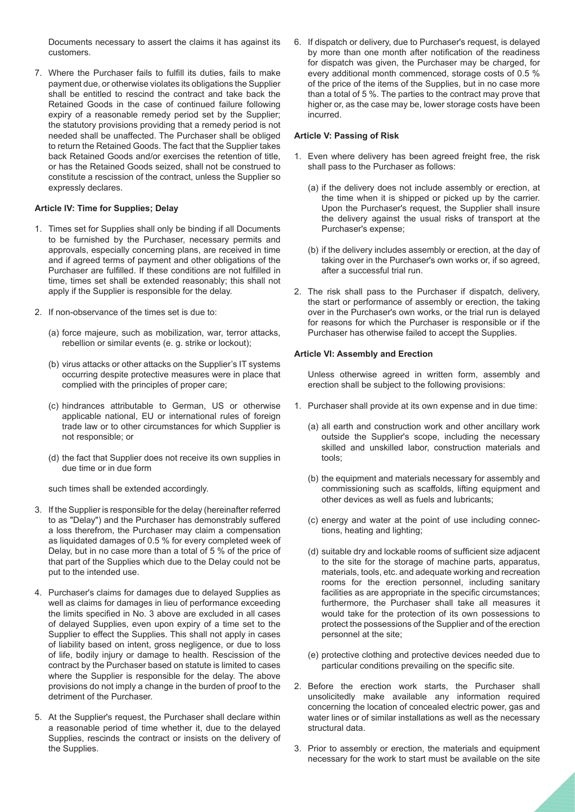Documents necessary to assert the claims it has against its customers.

7. Where the Purchaser fails to fulill its duties, fails to make payment due, or otherwise violates its obligations the Supplier shall be entitled to rescind the contract and take back the Retained Goods in the case of continued failure following expiry of a reasonable remedy period set by the Supplier; the statutory provisions providing that a remedy period is not needed shall be unaffected. The Purchaser shall be obliged to return the Retained Goods. The fact that the Supplier takes back Retained Goods and/or exercises the retention of title, or has the Retained Goods seized, shall not be construed to constitute a rescission of the contract, unless the Supplier so expressly declares.

#### **Article IV: Time for Supplies; Delay**

- 1. Times set for Supplies shall only be binding if all Documents to be furnished by the Purchaser, necessary permits and approvals, especially concerning plans, are received in time and if agreed terms of payment and other obligations of the Purchaser are fulfilled. If these conditions are not fulfilled in time, times set shall be extended reasonably; this shall not apply if the Supplier is responsible for the delay.
- 2. If non-observance of the times set is due to:
	- (a) force majeure, such as mobilization, war, terror attacks, rebellion or similar events (e. g. strike or lockout);
	- (b) virus attacks or other attacks on the Supplier's IT systems occurring despite protective measures were in place that complied with the principles of proper care;
	- (c) hindrances attributable to German, US or otherwise applicable national, EU or international rules of foreign trade law or to other circumstances for which Supplier is not responsible; or
	- (d) the fact that Supplier does not receive its own supplies in due time or in due form

such times shall be extended accordingly.

- 3. If the Supplier is responsible for the delay (hereinafter referred to as "Delay") and the Purchaser has demonstrably suffered a loss therefrom, the Purchaser may claim a compensation as liquidated damages of 0.5 % for every completed week of Delay, but in no case more than a total of 5 % of the price of that part of the Supplies which due to the Delay could not be put to the intended use.
- 4. Purchaser's claims for damages due to delayed Supplies as well as claims for damages in lieu of performance exceeding the limits specified in No. 3 above are excluded in all cases of delayed Supplies, even upon expiry of a time set to the Supplier to effect the Supplies. This shall not apply in cases of liability based on intent, gross negligence, or due to loss of life, bodily injury or damage to health. Rescission of the contract by the Purchaser based on statute is limited to cases where the Supplier is responsible for the delay. The above provisions do not imply a change in the burden of proof to the detriment of the Purchaser.
- 5. At the Supplier's request, the Purchaser shall declare within a reasonable period of time whether it, due to the delayed Supplies, rescinds the contract or insists on the delivery of the Supplies.

6. If dispatch or delivery, due to Purchaser's request, is delayed by more than one month after notification of the readiness for dispatch was given, the Purchaser may be charged, for every additional month commenced, storage costs of 0.5 % of the price of the items of the Supplies, but in no case more than a total of 5 %. The parties to the contract may prove that higher or, as the case may be, lower storage costs have been incurred.

#### **Article V: Passing of Risk**

- 1. Even where delivery has been agreed freight free, the risk shall pass to the Purchaser as follows:
	- (a) if the delivery does not include assembly or erection, at the time when it is shipped or picked up by the carrier. Upon the Purchaser's request, the Supplier shall insure the delivery against the usual risks of transport at the Purchaser's expense;
	- (b) if the delivery includes assembly or erection, at the day of taking over in the Purchaser's own works or, if so agreed, after a successful trial run.
- 2. The risk shall pass to the Purchaser if dispatch, delivery, the start or performance of assembly or erection, the taking over in the Purchaser's own works, or the trial run is delayed for reasons for which the Purchaser is responsible or if the Purchaser has otherwise failed to accept the Supplies.

#### **Article VI: Assembly and Erection**

 Unless otherwise agreed in written form, assembly and erection shall be subject to the following provisions:

- 1. Purchaser shall provide at its own expense and in due time:
	- (a) all earth and construction work and other ancillary work outside the Supplier's scope, including the necessary skilled and unskilled labor, construction materials and tools;
	- (b) the equipment and materials necessary for assembly and commissioning such as scaffolds, lifting equipment and other devices as well as fuels and lubricants;
	- (c) energy and water at the point of use including connections, heating and lighting;
	- (d) suitable dry and lockable rooms of suficient size adjacent to the site for the storage of machine parts, apparatus, materials, tools, etc. and adequate working and recreation rooms for the erection personnel, including sanitary facilities as are appropriate in the specific circumstances; furthermore, the Purchaser shall take all measures it would take for the protection of its own possessions to protect the possessions of the Supplier and of the erection personnel at the site;
	- (e) protective clothing and protective devices needed due to particular conditions prevailing on the specific site.
- 2. Before the erection work starts, the Purchaser shall unsolicitedly make available any information required concerning the location of concealed electric power, gas and water lines or of similar installations as well as the necessary structural data.
- 3. Prior to assembly or erection, the materials and equipment necessary for the work to start must be available on the site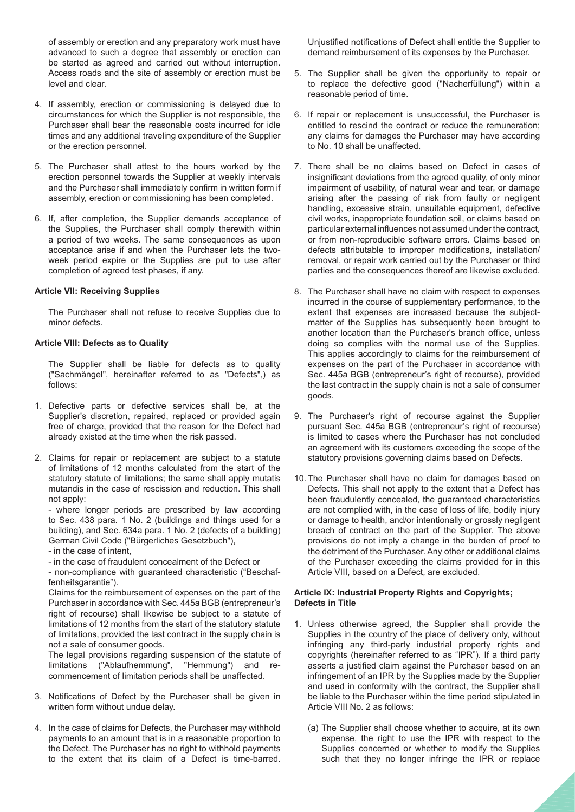of assembly or erection and any preparatory work must have advanced to such a degree that assembly or erection can be started as agreed and carried out without interruption. Access roads and the site of assembly or erection must be level and clear.

- 4. If assembly, erection or commissioning is delayed due to circumstances for which the Supplier is not responsible, the Purchaser shall bear the reasonable costs incurred for idle times and any additional traveling expenditure of the Supplier or the erection personnel.
- 5. The Purchaser shall attest to the hours worked by the erection personnel towards the Supplier at weekly intervals and the Purchaser shall immediately confirm in written form if assembly, erection or commissioning has been completed.
- 6. If, after completion, the Supplier demands acceptance of the Supplies, the Purchaser shall comply therewith within a period of two weeks. The same consequences as upon acceptance arise if and when the Purchaser lets the twoweek period expire or the Supplies are put to use after completion of agreed test phases, if any.

#### **Article VII: Receiving Supplies**

 The Purchaser shall not refuse to receive Supplies due to minor defects.

# **Article VIII: Defects as to Quality**

 The Supplier shall be liable for defects as to quality ("Sachmängel", hereinafter referred to as "Defects",) as follows:

- 1. Defective parts or defective services shall be, at the Supplier's discretion, repaired, replaced or provided again free of charge, provided that the reason for the Defect had already existed at the time when the risk passed.
- 2. Claims for repair or replacement are subject to a statute of limitations of 12 months calculated from the start of the statutory statute of limitations; the same shall apply mutatis mutandis in the case of rescission and reduction. This shall not apply:

 - where longer periods are prescribed by law according to Sec. 438 para. 1 No. 2 (buildings and things used for a building), and Sec. 634a para. 1 No. 2 (defects of a building) German Civil Code ("Bürgerliches Gesetzbuch"),

- in the case of intent,

- in the case of fraudulent concealment of the Defect or

 - non-compliance with guaranteed characteristic ("Beschaffenheitsgarantie").

 Claims for the reimbursement of expenses on the part of the Purchaser in accordance with Sec. 445a BGB (entrepreneur's right of recourse) shall likewise be subject to a statute of limitations of 12 months from the start of the statutory statute of limitations, provided the last contract in the supply chain is not a sale of consumer goods.

 The legal provisions regarding suspension of the statute of limitations ("Ablaufhemmung", "Hemmung") and recommencement of limitation periods shall be unaffected.

- 3. Notifications of Defect by the Purchaser shall be given in written form without undue delay.
- 4. In the case of claims for Defects, the Purchaser may withhold payments to an amount that is in a reasonable proportion to the Defect. The Purchaser has no right to withhold payments to the extent that its claim of a Defect is time-barred.

Unjustified notifications of Defect shall entitle the Supplier to demand reimbursement of its expenses by the Purchaser.

- 5. The Supplier shall be given the opportunity to repair or to replace the defective good ("Nacherfüllung") within a reasonable period of time.
- 6. If repair or replacement is unsuccessful, the Purchaser is entitled to rescind the contract or reduce the remuneration; any claims for damages the Purchaser may have according to No. 10 shall be unaffected.
- 7. There shall be no claims based on Defect in cases of insignificant deviations from the agreed quality, of only minor impairment of usability, of natural wear and tear, or damage arising after the passing of risk from faulty or negligent handling, excessive strain, unsuitable equipment, defective civil works, inappropriate foundation soil, or claims based on particular external influences not assumed under the contract, or from non-reproducible software errors. Claims based on defects attributable to improper modifications, installation/ removal, or repair work carried out by the Purchaser or third parties and the consequences thereof are likewise excluded.
- 8. The Purchaser shall have no claim with respect to expenses incurred in the course of supplementary performance, to the extent that expenses are increased because the subjectmatter of the Supplies has subsequently been brought to another location than the Purchaser's branch ofice, unless doing so complies with the normal use of the Supplies. This applies accordingly to claims for the reimbursement of expenses on the part of the Purchaser in accordance with Sec. 445a BGB (entrepreneur's right of recourse), provided the last contract in the supply chain is not a sale of consumer goods.
- 9. The Purchaser's right of recourse against the Supplier pursuant Sec. 445a BGB (entrepreneur's right of recourse) is limited to cases where the Purchaser has not concluded an agreement with its customers exceeding the scope of the statutory provisions governing claims based on Defects.
- 10. The Purchaser shall have no claim for damages based on Defects. This shall not apply to the extent that a Defect has been fraudulently concealed, the guaranteed characteristics are not complied with, in the case of loss of life, bodily injury or damage to health, and/or intentionally or grossly negligent breach of contract on the part of the Supplier. The above provisions do not imply a change in the burden of proof to the detriment of the Purchaser. Any other or additional claims of the Purchaser exceeding the claims provided for in this Article VIII, based on a Defect, are excluded.

### **Article IX: Industrial Property Rights and Copyrights; Defects in Title**

- 1. Unless otherwise agreed, the Supplier shall provide the Supplies in the country of the place of delivery only, without infringing any third-party industrial property rights and copyrights (hereinafter referred to as "IPR"). If a third party asserts a justified claim against the Purchaser based on an infringement of an IPR by the Supplies made by the Supplier and used in conformity with the contract, the Supplier shall be liable to the Purchaser within the time period stipulated in Article VIII No. 2 as follows:
	- (a) The Supplier shall choose whether to acquire, at its own expense, the right to use the IPR with respect to the Supplies concerned or whether to modify the Supplies such that they no longer infringe the IPR or replace